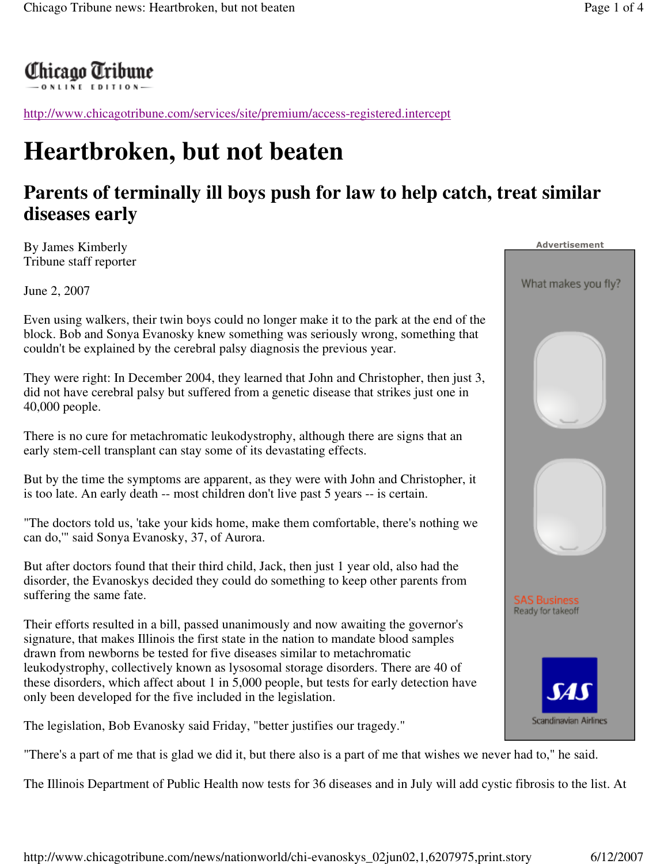## Chicago Tribune<br>—————————————

http://www.chicagotribune.com/services/site/premium/access-registered.intercept

## **Heartbroken, but not beaten**

## **Parents of terminally ill boys push for law to help catch, treat similar diseases early**

By James Kimberly Tribune staff reporter

June 2, 2007

Even using walkers, their twin boys could no longer make it to the park at the end of the block. Bob and Sonya Evanosky knew something was seriously wrong, something that couldn't be explained by the cerebral palsy diagnosis the previous year.

They were right: In December 2004, they learned that John and Christopher, then just 3, did not have cerebral palsy but suffered from a genetic disease that strikes just one in 40,000 people.

There is no cure for metachromatic leukodystrophy, although there are signs that an early stem-cell transplant can stay some of its devastating effects.

But by the time the symptoms are apparent, as they were with John and Christopher, it is too late. An early death -- most children don't live past 5 years -- is certain.

"The doctors told us, 'take your kids home, make them comfortable, there's nothing we can do,'" said Sonya Evanosky, 37, of Aurora.

But after doctors found that their third child, Jack, then just 1 year old, also had the disorder, the Evanoskys decided they could do something to keep other parents from suffering the same fate.

Their efforts resulted in a bill, passed unanimously and now awaiting the governor's signature, that makes Illinois the first state in the nation to mandate blood samples drawn from newborns be tested for five diseases similar to metachromatic leukodystrophy, collectively known as lysosomal storage disorders. There are 40 of these disorders, which affect about 1 in 5,000 people, but tests for early detection have only been developed for the five included in the legislation.

The legislation, Bob Evanosky said Friday, "better justifies our tragedy."

"There's a part of me that is glad we did it, but there also is a part of me that wishes we never had to," he said.

The Illinois Department of Public Health now tests for 36 diseases and in July will add cystic fibrosis to the list. At



Advertisement

What makes you fly?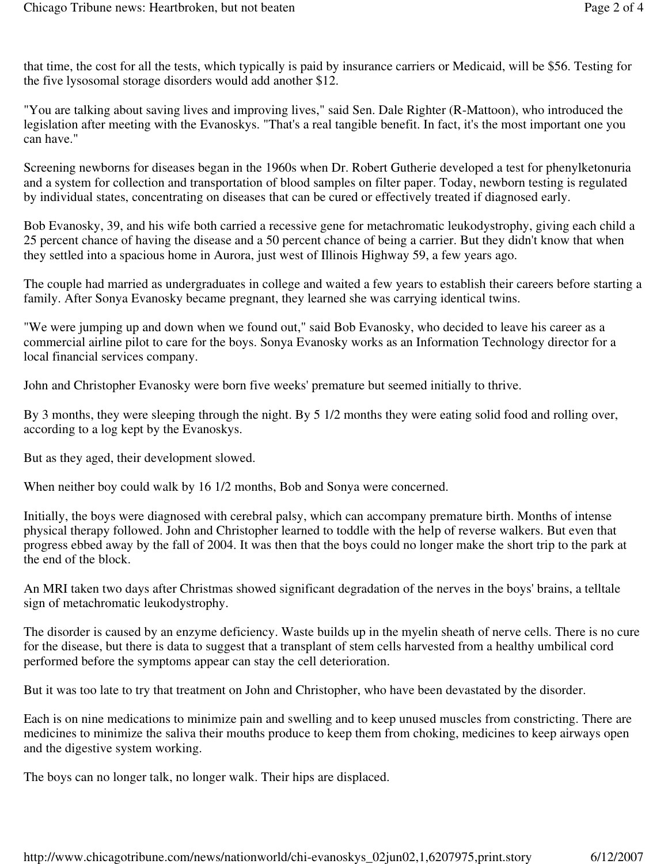that time, the cost for all the tests, which typically is paid by insurance carriers or Medicaid, will be \$56. Testing for the five lysosomal storage disorders would add another \$12.

"You are talking about saving lives and improving lives," said Sen. Dale Righter (R-Mattoon), who introduced the legislation after meeting with the Evanoskys. "That's a real tangible benefit. In fact, it's the most important one you can have."

Screening newborns for diseases began in the 1960s when Dr. Robert Gutherie developed a test for phenylketonuria and a system for collection and transportation of blood samples on filter paper. Today, newborn testing is regulated by individual states, concentrating on diseases that can be cured or effectively treated if diagnosed early.

Bob Evanosky, 39, and his wife both carried a recessive gene for metachromatic leukodystrophy, giving each child a 25 percent chance of having the disease and a 50 percent chance of being a carrier. But they didn't know that when they settled into a spacious home in Aurora, just west of Illinois Highway 59, a few years ago.

The couple had married as undergraduates in college and waited a few years to establish their careers before starting a family. After Sonya Evanosky became pregnant, they learned she was carrying identical twins.

"We were jumping up and down when we found out," said Bob Evanosky, who decided to leave his career as a commercial airline pilot to care for the boys. Sonya Evanosky works as an Information Technology director for a local financial services company.

John and Christopher Evanosky were born five weeks' premature but seemed initially to thrive.

By 3 months, they were sleeping through the night. By 5 1/2 months they were eating solid food and rolling over, according to a log kept by the Evanoskys.

But as they aged, their development slowed.

When neither boy could walk by 16 1/2 months, Bob and Sonya were concerned.

Initially, the boys were diagnosed with cerebral palsy, which can accompany premature birth. Months of intense physical therapy followed. John and Christopher learned to toddle with the help of reverse walkers. But even that progress ebbed away by the fall of 2004. It was then that the boys could no longer make the short trip to the park at the end of the block.

An MRI taken two days after Christmas showed significant degradation of the nerves in the boys' brains, a telltale sign of metachromatic leukodystrophy.

The disorder is caused by an enzyme deficiency. Waste builds up in the myelin sheath of nerve cells. There is no cure for the disease, but there is data to suggest that a transplant of stem cells harvested from a healthy umbilical cord performed before the symptoms appear can stay the cell deterioration.

But it was too late to try that treatment on John and Christopher, who have been devastated by the disorder.

Each is on nine medications to minimize pain and swelling and to keep unused muscles from constricting. There are medicines to minimize the saliva their mouths produce to keep them from choking, medicines to keep airways open and the digestive system working.

The boys can no longer talk, no longer walk. Their hips are displaced.